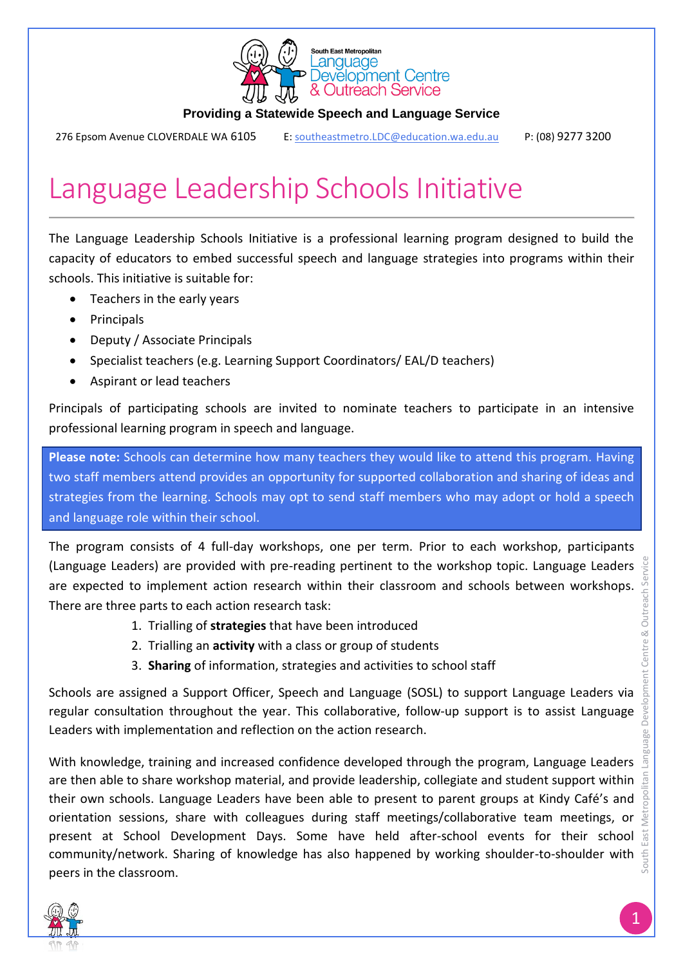

#### **Providing a Statewide Speech and Language Service**

276 Epsom Avenue CLOVERDALE WA 6105 [E: southeastmetro.LDC@education.wa.edu.au](mailto:%09E:%20southeastmetro.LDC@education.wa.edu.au) P: (08) 9277 3200

# Language Leadership Schools Initiative

The Language Leadership Schools Initiative is a professional learning program designed to build the capacity of educators to embed successful speech and language strategies into programs within their schools. This initiative is suitable for:

- Teachers in the early years
- Principals
- Deputy / Associate Principals
- Specialist teachers (e.g. Learning Support Coordinators/ EAL/D teachers)
- Aspirant or lead teachers

Principals of participating schools are invited to nominate teachers to participate in an intensive professional learning program in speech and language.

**Please note:** Schools can determine how many teachers they would like to attend this program. Having two staff members attend provides an opportunity for supported collaboration and sharing of ideas and strategies from the learning. Schools may opt to send staff members who may adopt or hold a speech and language role within their school.

The program consists of 4 full-day workshops, one per term. Prior to each workshop, participants (Language Leaders) are provided with pre-reading pertinent to the workshop topic. Language Leaders are expected to implement action research within their classroom and schools between workshops. There are three parts to each action research task:

- 1. Trialling of **strategies** that have been introduced
- 2. Trialling an **activity** with a class or group of students
- 3. **Sharing** of information, strategies and activities to school staff

Schools are assigned a Support Officer, Speech and Language (SOSL) to support Language Leaders via regular consultation throughout the year. This collaborative, follow-up support is to assist Language Leaders with implementation and reflection on the action research.

With knowledge, training and increased confidence developed through the program, Language Leaders  $\bar{a}$ are then able to share workshop material, and provide leadership, collegiate and student support within their own schools. Language Leaders have been able to present to parent groups at Kindy Café's and orientation sessions, share with colleagues during staff meetings/collaborative team meetings, or present at School Development Days. Some have held after-school events for their school community/network. Sharing of knowledge has also happened by working shoulder-to-shoulder with peers in the classroom.



South East Metropolitan Language Development Centre & Outreach Service

Centre &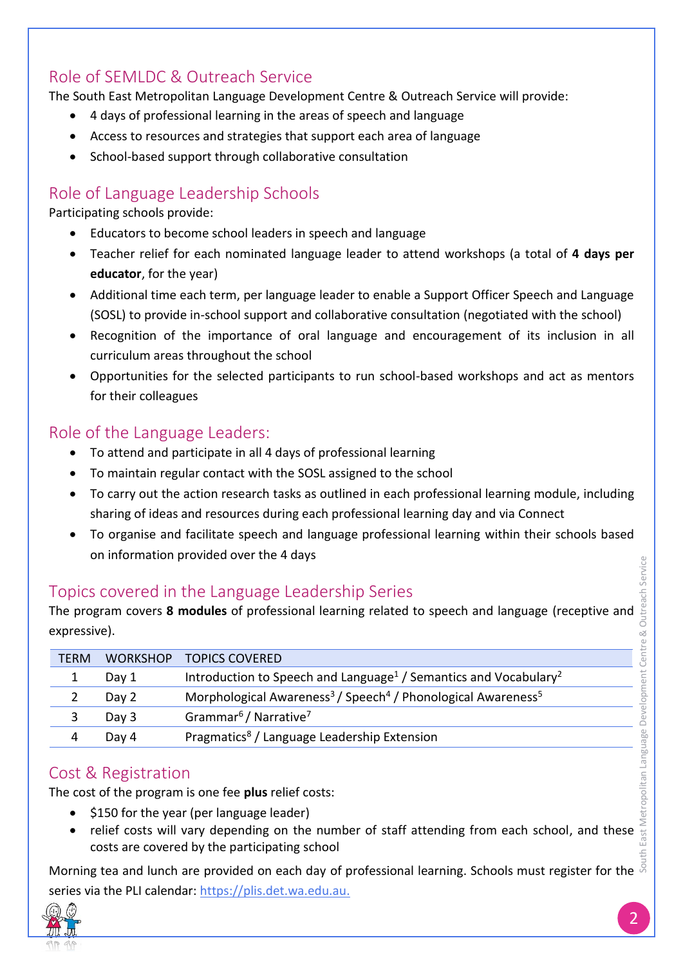# Role of SEMLDC & Outreach Service

The South East Metropolitan Language Development Centre & Outreach Service will provide:

- 4 days of professional learning in the areas of speech and language
- Access to resources and strategies that support each area of language
- School-based support through collaborative consultation

## Role of Language Leadership Schools

Participating schools provide:

- Educators to become school leaders in speech and language
- Teacher relief for each nominated language leader to attend workshops (a total of **4 days per educator**, for the year)
- Additional time each term, per language leader to enable a Support Officer Speech and Language (SOSL) to provide in-school support and collaborative consultation (negotiated with the school)
- Recognition of the importance of oral language and encouragement of its inclusion in all curriculum areas throughout the school
- Opportunities for the selected participants to run school-based workshops and act as mentors for their colleagues

#### Role of the Language Leaders:

- To attend and participate in all 4 days of professional learning
- To maintain regular contact with the SOSL assigned to the school
- To carry out the action research tasks as outlined in each professional learning module, including sharing of ideas and resources during each professional learning day and via Connect
- To organise and facilitate speech and language professional learning within their schools based on information provided over the 4 days

## Topics covered in the Language Leadership Series

The program covers **8 modules** of professional learning related to speech and language (receptive and expressive).

| <b>TERM</b> | <b>WORKSHOP</b> | <b>TOPICS COVERED</b>                                                                            |
|-------------|-----------------|--------------------------------------------------------------------------------------------------|
|             | Day 1           | Introduction to Speech and Language <sup>1</sup> / Semantics and Vocabulary <sup>2</sup>         |
|             | Day 2           | Morphological Awareness <sup>3</sup> / Speech <sup>4</sup> / Phonological Awareness <sup>5</sup> |
|             | Day 3           | Grammar <sup>6</sup> / Narrative <sup>7</sup>                                                    |
|             | Day 4           | Pragmatics <sup>8</sup> / Language Leadership Extension                                          |

## Cost & Registration

The cost of the program is one fee **plus** relief costs:

- $\bullet$  \$150 for the year (per language leader)
- East Metropolitan Language Development Centre & Outreach Service • relief costs will vary depending on the number of staff attending from each school, and these costs are covered by the participating school

South East Metropolitan Language Development Centre & Outreach Service Morning tea and lunch are provided on each day of professional learning. Schools must register for the series via the PLI calendar: <u>https://plis.det.wa.edu.au.</u>